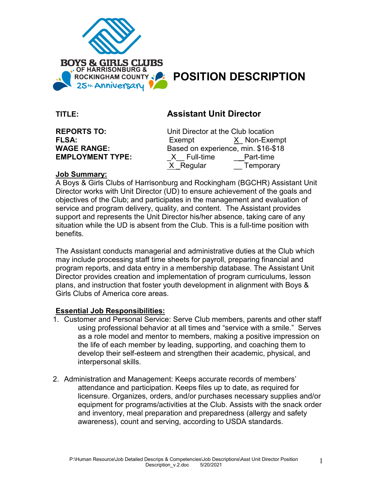

# ROCKINGHAM COUNTY **POSITION DESCRIPTION**

# **TITLE: Assistant Unit Director**

| <b>REPORTS TO:</b>      |
|-------------------------|
| <b>FLSA:</b>            |
| <b>WAGE RANGE:</b>      |
| <b>EMPLOYMENT TYPE:</b> |

**Unit Director at the Club location** Exempt X Non-Exempt Based on experience, min. \$16-\$18 X Full-time **Part-time** X Regular **Temporary** 

# **Job Summary:**

A Boys & Girls Clubs of Harrisonburg and Rockingham (BGCHR) Assistant Unit Director works with Unit Director (UD) to ensure achievement of the goals and objectives of the Club; and participates in the management and evaluation of service and program delivery, quality, and content. The Assistant provides support and represents the Unit Director his/her absence, taking care of any situation while the UD is absent from the Club. This is a full-time position with benefits.

The Assistant conducts managerial and administrative duties at the Club which may include processing staff time sheets for payroll, preparing financial and program reports, and data entry in a membership database. The Assistant Unit Director provides creation and implementation of program curriculums, lesson plans, and instruction that foster youth development in alignment with Boys & Girls Clubs of America core areas.

# **Essential Job Responsibilities:**

- 1. Customer and Personal Service: Serve Club members, parents and other staff using professional behavior at all times and "service with a smile." Serves as a role model and mentor to members, making a positive impression on the life of each member by leading, supporting, and coaching them to develop their self-esteem and strengthen their academic, physical, and interpersonal skills.
- 2. Administration and Management: Keeps accurate records of members' attendance and participation. Keeps files up to date, as required for licensure. Organizes, orders, and/or purchases necessary supplies and/or equipment for programs/activities at the Club. Assists with the snack order and inventory, meal preparation and preparedness (allergy and safety awareness), count and serving, according to USDA standards.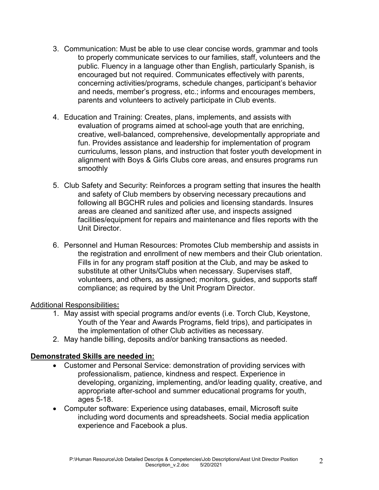- 3. Communication: Must be able to use clear concise words, grammar and tools to properly communicate services to our families, staff, volunteers and the public. Fluency in a language other than English, particularly Spanish, is encouraged but not required. Communicates effectively with parents, concerning activities/programs, schedule changes, participant's behavior and needs, member's progress, etc.; informs and encourages members, parents and volunteers to actively participate in Club events.
- 4. Education and Training: Creates, plans, implements, and assists with evaluation of programs aimed at school-age youth that are enriching, creative, well-balanced, comprehensive, developmentally appropriate and fun. Provides assistance and leadership for implementation of program curriculums, lesson plans, and instruction that foster youth development in alignment with Boys & Girls Clubs core areas, and ensures programs run smoothly
- 5. Club Safety and Security: Reinforces a program setting that insures the health and safety of Club members by observing necessary precautions and following all BGCHR rules and policies and licensing standards. Insures areas are cleaned and sanitized after use, and inspects assigned facilities/equipment for repairs and maintenance and files reports with the Unit Director.
- 6. Personnel and Human Resources: Promotes Club membership and assists in the registration and enrollment of new members and their Club orientation. Fills in for any program staff position at the Club, and may be asked to substitute at other Units/Clubs when necessary. Supervises staff, volunteers, and others, as assigned; monitors, guides, and supports staff compliance; as required by the Unit Program Director.

#### Additional Responsibilities**:**

- 1. May assist with special programs and/or events (i.e. Torch Club, Keystone, Youth of the Year and Awards Programs, field trips), and participates in the implementation of other Club activities as necessary.
- 2. May handle billing, deposits and/or banking transactions as needed.

# **Demonstrated Skills are needed in:**

- Customer and Personal Service: demonstration of providing services with professionalism, patience, kindness and respect. Experience in developing, organizing, implementing, and/or leading quality, creative, and appropriate after-school and summer educational programs for youth, ages 5-18.
- Computer software: Experience using databases, email, Microsoft suite including word documents and spreadsheets. Social media application experience and Facebook a plus.